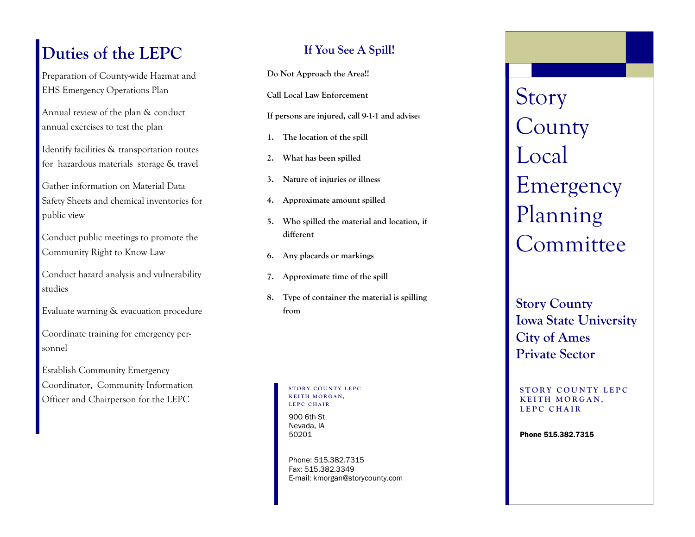## **Duties of the LEPC**

Preparation of County-wide Hazmat and EHS Emergency Operations Plan

Annual review of the plan & conduct annual exercises to test the plan

Identify facilities & transportation routes for hazardous materials storage & travel

Gather information on Material Data Safety Sheets and chemical inventories for public view

Conduct public meetings to promote the Community Right to Know Law

Conduct hazard analysis and vulnerability studies

Evaluate warning & evacuation procedure

Coordinate training for emergency personnel

Establish Community Emergency Coordinator, Community Information Officer and Chairperson for the LEPC

### **If You See A Spill!**

**Do Not Approach the Area!!** 

**Call Local Law Enforcement** 

**If persons are injured, call 9 1 -1 and advise: -**

- **1. The location of the spill**
- **2. What has been spilled**
- **3. Nature of injuries or illness**
- **4. Approximate amount spilled**
- **5. Who spilled the material and location, if different**
- **6. Any placards or markings**
- **7. Approximate time of the spill**
- **8. Type of container the material is spilling from**

**STORY COUNTY LEPC KEITH MORGAN,** LEPC CHAIR

900 6th St Nevada, IA 50201

Phone: 515.382.7315 Fax: 515.382.3349 E-mail: kmorgan@storycounty.com Story **County** Local Emergency Planning Committee

**Story County Iowa State University City of Ames Private Sector**

#### **STORY COUNTY LEPC KEITH MORGAN, L E P C C H A I R**

Phone 515.382.7315